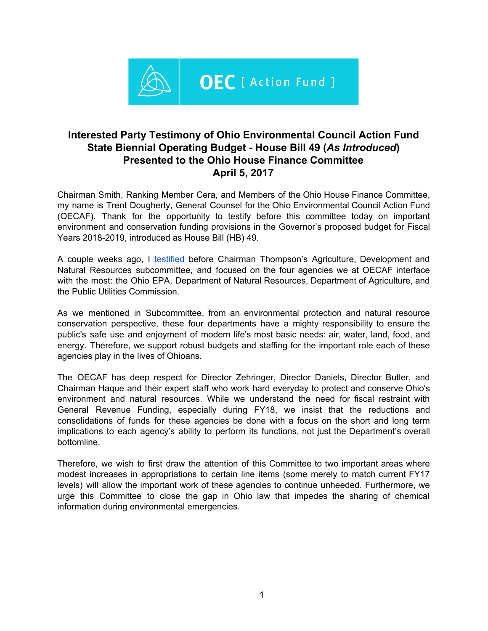

# **Interested Party Testimony of Ohio Environmental Council Action Fund State Biennial Operating Budget - House Bill 49 (***As Introduced***) Presented to the Ohio House Finance Committee April 5, 2017**

Chairman Smith, Ranking Member Cera, and Members of the Ohio House Finance Committee, my name is Trent Dougherty, General Counsel for the Ohio Environmental Council Action Fund (OECAF). Thank for the opportunity to testify before this committee today on important environment and conservation funding provisions in the Governor's proposed budget for Fiscal Years 2018-2019, introduced as House Bill (HB) 49.

A couple weeks ago, I [testified](http://www.hannah.com/ShowDocument.aspx?TestimonyID=23465) before Chairman Thompson's Agriculture, Development and Natural Resources subcommittee, and focused on the four agencies we at OECAF interface with the most: the Ohio EPA, Department of Natural Resources, Department of Agriculture, and the Public Utilities Commission.

As we mentioned in Subcommittee, from an environmental protection and natural resource conservation perspective, these four departments have a mighty responsibility to ensure the public's safe use and enjoyment of modern life's most basic needs: air, water, land, food, and energy. Therefore, we support robust budgets and staffing for the important role each of these agencies play in the lives of Ohioans.

The OECAF has deep respect for Director Zehringer, Director Daniels, Director Butler, and Chairman Haque and their expert staff who work hard everyday to protect and conserve Ohio's environment and natural resources. While we understand the need for fiscal restraint with General Revenue Funding, especially during FY18, we insist that the reductions and consolidations of funds for these agencies be done with a focus on the short and long term implications to each agency's ability to perform its functions, not just the Department's overall bottomline.

Therefore, we wish to first draw the attention of this Committee to two important areas where modest increases in appropriations to certain line items (some merely to match current FY17 levels) will allow the important work of these agencies to continue unheeded. Furthermore, we urge this Committee to close the gap in Ohio law that impedes the sharing of chemical information during environmental emergencies.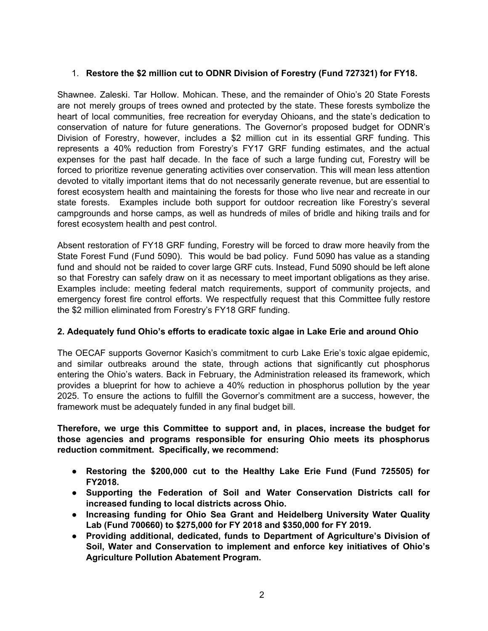## 1. **Restore the \$2 million cut to ODNR Division of Forestry (Fund 727321) for FY18.**

Shawnee. Zaleski. Tar Hollow. Mohican. These, and the remainder of Ohio's 20 State Forests are not merely groups of trees owned and protected by the state. These forests symbolize the heart of local communities, free recreation for everyday Ohioans, and the state's dedication to conservation of nature for future generations. The Governor's proposed budget for ODNR's Division of Forestry, however, includes a \$2 million cut in its essential GRF funding. This represents a 40% reduction from Forestry's FY17 GRF funding estimates, and the actual expenses for the past half decade. In the face of such a large funding cut, Forestry will be forced to prioritize revenue generating activities over conservation. This will mean less attention devoted to vitally important items that do not necessarily generate revenue, but are essential to forest ecosystem health and maintaining the forests for those who live near and recreate in our state forests. Examples include both support for outdoor recreation like Forestry's several campgrounds and horse camps, as well as hundreds of miles of bridle and hiking trails and for forest ecosystem health and pest control.

Absent restoration of FY18 GRF funding, Forestry will be forced to draw more heavily from the State Forest Fund (Fund 5090). This would be bad policy. Fund 5090 has value as a standing fund and should not be raided to cover large GRF cuts. Instead, Fund 5090 should be left alone so that Forestry can safely draw on it as necessary to meet important obligations as they arise. Examples include: meeting federal match requirements, support of community projects, and emergency forest fire control efforts. We respectfully request that this Committee fully restore the \$2 million eliminated from Forestry's FY18 GRF funding.

### **2. Adequately fund Ohio's efforts to eradicate toxic algae in Lake Erie and around Ohio**

The OECAF supports Governor Kasich's commitment to curb Lake Erie's toxic algae epidemic, and similar outbreaks around the state, through actions that significantly cut phosphorus entering the Ohio's waters. Back in February, the Administration released its framework, which provides a blueprint for how to achieve a 40% reduction in phosphorus pollution by the year 2025. To ensure the actions to fulfill the Governor's commitment are a success, however, the framework must be adequately funded in any final budget bill.

**Therefore, we urge this Committee to support and, in places, increase the budget for those agencies and programs responsible for ensuring Ohio meets its phosphorus reduction commitment. Specifically, we recommend:**

- **● Restoring the \$200,000 cut to the Healthy Lake Erie Fund (Fund 725505) for FY2018.**
- **● Supporting the Federation of Soil and Water Conservation Districts call for increased funding to local districts across Ohio.**
- **● Increasing funding for Ohio Sea Grant and Heidelberg University Water Quality Lab (Fund 700660) to \$275,000 for FY 2018 and \$350,000 for FY 2019.**
- *●* **Providing additional, dedicated, funds to Department of Agriculture's Division of Soil, Water and Conservation to implement and enforce key initiatives of Ohio's Agriculture Pollution Abatement Program.**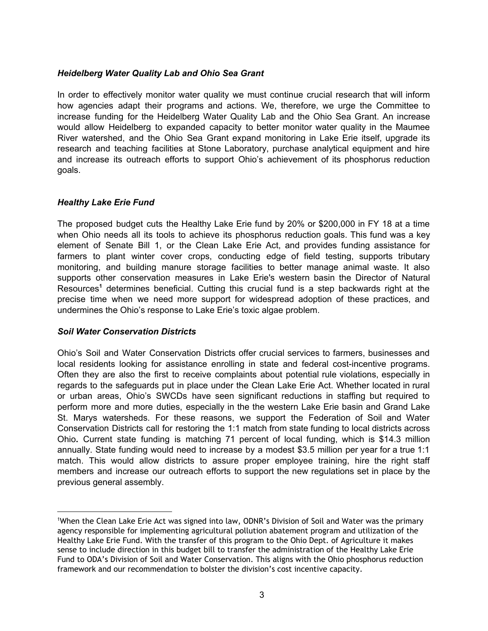### *Heidelberg Water Quality Lab and Ohio Sea Grant*

In order to effectively monitor water quality we must continue crucial research that will inform how agencies adapt their programs and actions. We, therefore, we urge the Committee to increase funding for the Heidelberg Water Quality Lab and the Ohio Sea Grant. An increase would allow Heidelberg to expanded capacity to better monitor water quality in the Maumee River watershed, and the Ohio Sea Grant expand monitoring in Lake Erie itself, upgrade its research and teaching facilities at Stone Laboratory, purchase analytical equipment and hire and increase its outreach efforts to support Ohio's achievement of its phosphorus reduction goals.

### *Healthy Lake Erie Fund*

The proposed budget cuts the Healthy Lake Erie fund by 20% or \$200,000 in FY 18 at a time when Ohio needs all its tools to achieve its phosphorus reduction goals. This fund was a key element of Senate Bill 1, or the Clean Lake Erie Act, and provides funding assistance for farmers to plant winter cover crops, conducting edge of field testing, supports tributary monitoring, and building manure storage facilities to better manage animal waste. It also supports other conservation measures in Lake Erie's western basin the Director of Natural Resources<sup>1</sup> determines beneficial. Cutting this crucial fund is a step backwards right at the precise time when we need more support for widespread adoption of these practices, and undermines the Ohio's response to Lake Erie's toxic algae problem.

### *Soil Water Conservation Districts*

Ohio's Soil and Water Conservation Districts offer crucial services to farmers, businesses and local residents looking for assistance enrolling in state and federal cost-incentive programs. Often they are also the first to receive complaints about potential rule violations, especially in regards to the safeguards put in place under the Clean Lake Erie Act. Whether located in rural or urban areas, Ohio's SWCDs have seen significant reductions in staffing but required to perform more and more duties, especially in the the western Lake Erie basin and Grand Lake St. Marys watersheds. For these reasons, we support the Federation of Soil and Water Conservation Districts call for restoring the 1:1 match from state funding to local districts across Ohio**.** Current state funding is matching 71 percent of local funding, which is \$14.3 million annually. State funding would need to increase by a modest \$3.5 million per year for a true 1:1 match. This would allow districts to assure proper employee training, hire the right staff members and increase our outreach efforts to support the new regulations set in place by the previous general assembly.

<sup>1</sup>When the Clean Lake Erie Act was signed into law, ODNR's Division of Soil and Water was the primary agency responsible for implementing agricultural pollution abatement program and utilization of the Healthy Lake Erie Fund. With the transfer of this program to the Ohio Dept. of Agriculture it makes sense to include direction in this budget bill to transfer the administration of the Healthy Lake Erie Fund to ODA's Division of Soil and Water Conservation. This aligns with the Ohio phosphorus reduction framework and our recommendation to bolster the division's cost incentive capacity.